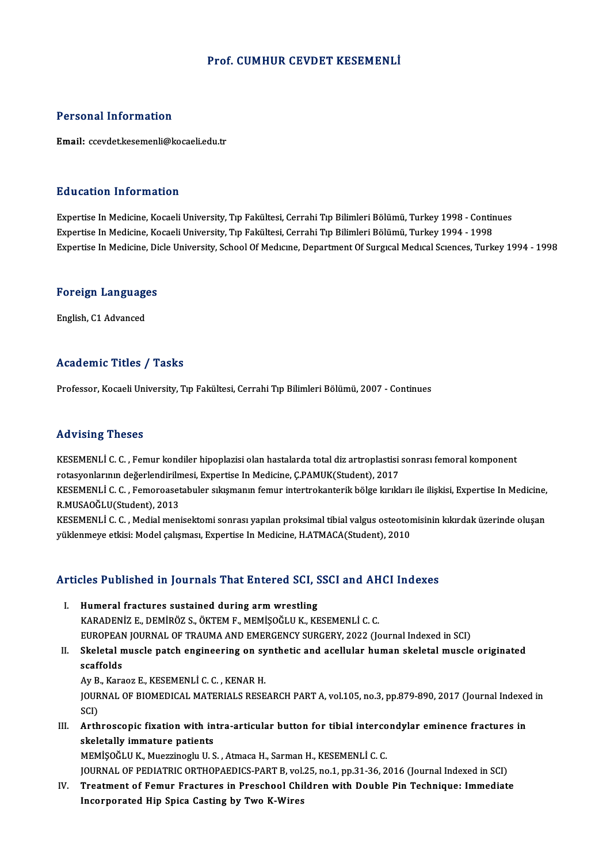#### Prof. CUMHUR CEVDET KESEMENLİ

#### Personal Information

Email: ccevdet.kesemenli@kocaeli.edu.tr

#### Education Information

Education Information<br>Expertise In Medicine, Kocaeli University, Tıp Fakültesi, Cerrahi Tıp Bilimleri Bölümü, Turkey 1998 - Continues<br>Expertise In Medicine, Kocaeli University, Tıp Fakültesi, Cerrahi Tıp Bilimleri Bölümü, Expertise In Medicine, Kocaeli University, Tıp Fakültesi, Cerrahi Tıp Bilimleri Bölümü, Turkey 1998 - Contir<br>Expertise In Medicine, Kocaeli University, Tıp Fakültesi, Cerrahi Tıp Bilimleri Bölümü, Turkey 1994 - 1998<br>Expert Expertise In Medicine, Kocaeli University, Tıp Fakültesi, Cerrahi Tıp Bilimleri Bölümü, Turkey 1994 - 1998<br>Expertise In Medicine, Dicle University, School Of Medicine, Department Of Surgical Medical Sciences, Turkey 1994 -

### experuse in medicine, Di<br>Foreign Languages <mark>Foreign Language</mark><br>English, C1 Advanced

## English, C1 Advanced<br>Academic Titles / Tasks

Professor, Kocaeli University, Tıp Fakültesi, Cerrahi Tıp Bilimleri Bölümü, 2007 - Continues

#### Advising Theses

KESEMENLİC.C. ,Femur kondiler hipoplazisiolanhastalarda totaldiz artroplastisi sonrası femoralkomponent rsa viering "ricece"<br>KESEMENLİ C. C. , Femur kondiler hipoplazisi olan hastalarda total diz artroplastisi<br>rotasyonlarının değerlendirilmesi, Expertise In Medicine, Ç.PAMUK(Student), 2017<br>KESEMENLİ C. C., Esmanasastabular s

KESEMENLİ C. C. , Femoroasetabuler sıkışmanın femur intertrokanterik bölge kırıkları ile ilişkisi, Expertise In Medicine,<br>R.MUSAOĞLU(Student), 2013 rotasyonlarının değerlendirilm<br>KESEMENLİ C. C. , Femoroaset<br>R.MUSAOĞLU(Student), 2013<br>KESEMENLİ C. C. , Modial mani KESEMENLİ C. C. , Femoroasetabuler sıkışmanın femur intertrokanterik bölge kırıkları ile ilişkisi, Expertise In Medicine,<br>R.MUSAOĞLU(Student), 2013<br>KESEMENLİ C. C. , Medial menisektomi sonrası yapılan proksimal tibial valg

R.MUSAOĞLU(Student), 2013<br>KESEMENLİ C. C. , Medial menisektomi sonrası yapılan proksimal tibial valgus osteotor<br>yüklenmeye etkisi: Model çalışması, Expertise In Medicine, H.ATMACA(Student), 2010

# yuklenmeye etkisi: моdel çalışması, expertise in меdicine, н.я. і м.я.с.я. student), 2010<br>Articles Published in Journals That Entered SCI, SSCI and AHCI Indexes

- **Tricles Published in Journals That Entered SCI, State SCI**<br>I. Humeral fractures sustained during arm wrestling<br>KARADENIZE DEMIRÖZS ÖKTEME MEMISOČLUK KE I. Humeral fractures sustained during arm wrestling<br>KARADENİZ E., DEMİRÖZ S., ÖKTEM F., MEMİŞOĞLU K., KESEMENLİ C. C. Humeral fractures sustained during arm wrestling<br>KARADENİZ E., DEMİRÖZ S., ÖKTEM F., MEMİŞOĞLU K., KESEMENLİ C. C.<br>EUROPEAN JOURNAL OF TRAUMA AND EMERGENCY SURGERY, 2022 (Journal Indexed in SCI)<br>Skelatel musele pateh engin KARADENİZ E., DEMİRÖZ S., ÖKTEM F., MEMİŞOĞLU K., KESEMENLİ C. C.<br>EUROPEAN JOURNAL OF TRAUMA AND EMERGENCY SURGERY, 2022 (Journal Indexed in SCI)<br>II. Skeletal muscle patch engineering on synthetic and acellular human skele
- EUROPEAN<br>Skeletal n<br>scaffolds<br>Au B. Kara Skeletal muscle patch engineering on sy<br>scaffolds<br>Ay B., Karaoz E., KESEMENLİ C. C. , KENAR H.<br>JOUPNAL OE PJOMEDICAL MATERIALS PESE

scaffolds<br>Ay B., Karaoz E., KESEMENLİ C. C. , KENAR H.<br>JOURNAL OF BIOMEDICAL MATERIALS RESEARCH PART A, vol.105, no.3, pp.879-890, 2017 (Journal Indexed in<br>SCI) Av B., Karaoz E., KESEMENLİ C. C., KENAR H. JOURNAL OF BIOMEDICAL MATERIALS RESEARCH PART A, vol.105, no.3, pp.879-890, 2017 (Journal Indexed<br>SCI)<br>III. Arthroscopic fixation with intra-articular button for tibial intercondylar eminence fractures in<br>cliedatelly immet

SCI)<br>Arthroscopic fixation with in<br>skeletally immature patients<br>MEMISOČLU K. Mustrinoslu H. S Arthroscopic fixation with intra-articular button for tibial interco<br>skeletally immature patients<br>MEMİŞOĞLU K., Muezzinoglu U.S., Atmaca H., Sarman H., KESEMENLİ C. C.<br>JOUPMAL OE PEDIATRIC ORTHOPAEDICS BART P. vol 35 no.1

skeletally immature patients<br>MEMİŞOĞLU K., Muezzinoglu U. S. , Atmaca H., Sarman H., KESEMENLİ C. C.<br>JOURNAL OF PEDIATRIC ORTHOPAEDICS-PART B, vol.25, no.1, pp.31-36, 2016 (Journal Indexed in SCI)

IV. Treatment of Femur Fractures in Preschool Children with Double Pin Technique: Immediate Incorporated Hip Spica Casting by Two K-Wires